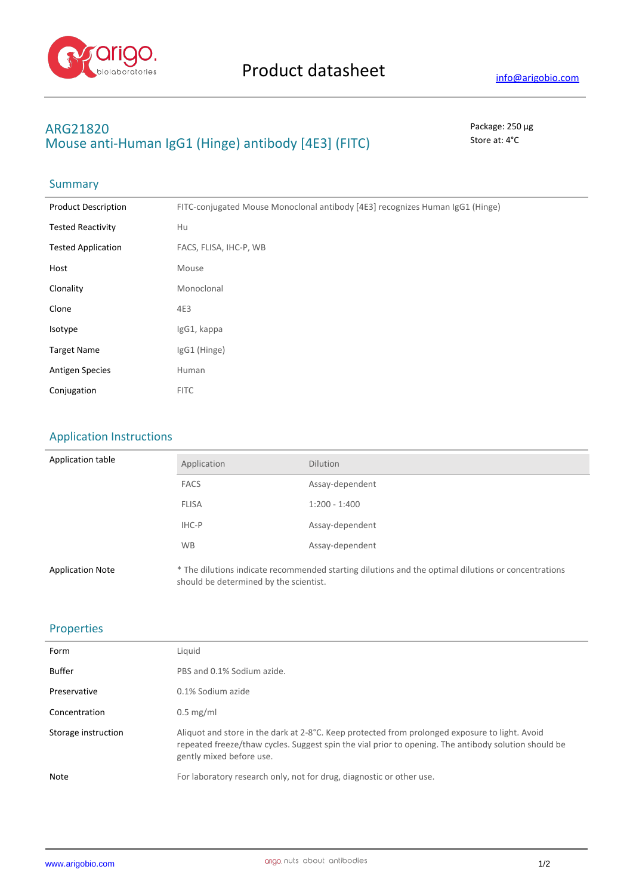

# **ARG21820** Package: 250 μg **Mouse anti-Human IgG1 (Hinge) antibody [4E3] (FITC)** Store at: 4°C

# Summary

| <b>Product Description</b> | FITC-conjugated Mouse Monoclonal antibody [4E3] recognizes Human IgG1 (Hinge) |
|----------------------------|-------------------------------------------------------------------------------|
| <b>Tested Reactivity</b>   | Hu                                                                            |
| <b>Tested Application</b>  | FACS, FLISA, IHC-P, WB                                                        |
| Host                       | Mouse                                                                         |
| Clonality                  | Monoclonal                                                                    |
| Clone                      | 4E3                                                                           |
| Isotype                    | IgG1, kappa                                                                   |
| <b>Target Name</b>         | IgG1 (Hinge)                                                                  |
| <b>Antigen Species</b>     | Human                                                                         |
| Conjugation                | <b>FITC</b>                                                                   |

## Application Instructions

| Application table       | Application  | <b>Dilution</b>                                                                                     |
|-------------------------|--------------|-----------------------------------------------------------------------------------------------------|
|                         | <b>FACS</b>  | Assay-dependent                                                                                     |
|                         | <b>FLISA</b> | $1:200 - 1:400$                                                                                     |
|                         | IHC-P        | Assay-dependent                                                                                     |
|                         | <b>WB</b>    | Assay-dependent                                                                                     |
| <b>Application Note</b> |              | * The dilutions indicate recommended starting dilutions and the optimal dilutions or concentrations |

should be determined by the scientist.

### Properties

| Form                | Liquid                                                                                                                                                                                                                             |
|---------------------|------------------------------------------------------------------------------------------------------------------------------------------------------------------------------------------------------------------------------------|
| Buffer              | PBS and 0.1% Sodium azide.                                                                                                                                                                                                         |
| Preservative        | 0.1% Sodium azide                                                                                                                                                                                                                  |
| Concentration       | $0.5 \text{ mg/ml}$                                                                                                                                                                                                                |
| Storage instruction | Aliquot and store in the dark at 2-8°C. Keep protected from prolonged exposure to light. Avoid<br>repeated freeze/thaw cycles. Suggest spin the vial prior to opening. The antibody solution should be<br>gently mixed before use. |
| Note                | For laboratory research only, not for drug, diagnostic or other use.                                                                                                                                                               |